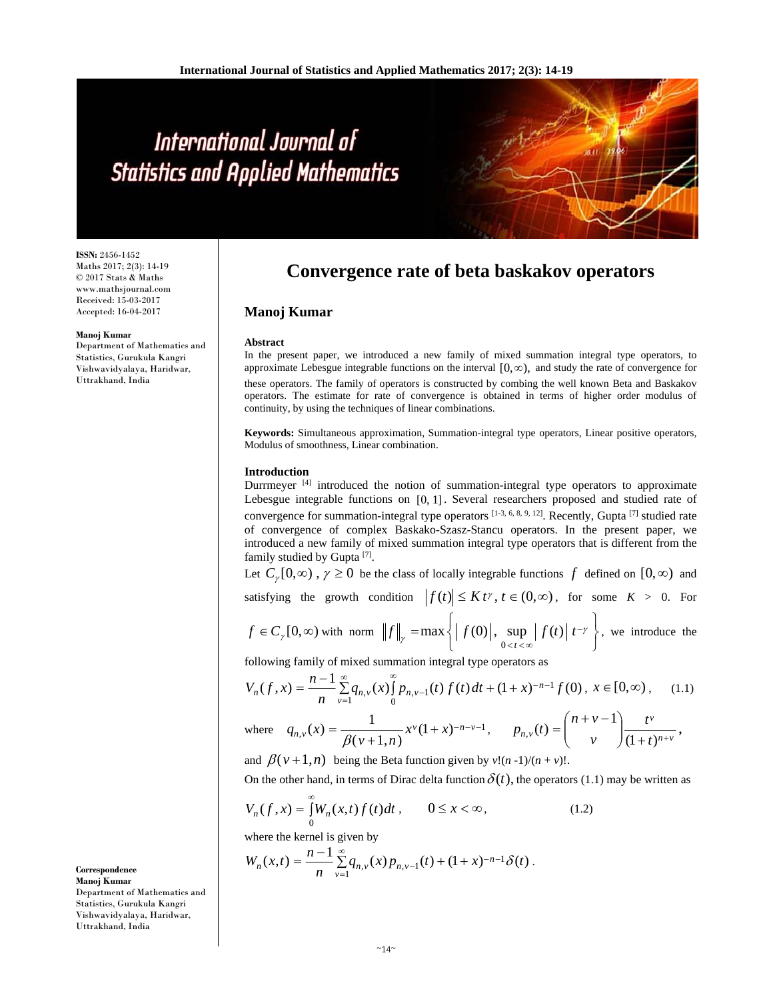**ISSN:** 2456-1452 Maths 2017; 2(3): 14-19 © 2017 Stats & Maths www.mathsjournal.com Received: 15-03-2017 Accepted: 16-04-2017

#### **Manoj Kumar**

Department of Mathematics and Statistics, Gurukula Kangri Vishwavidyalaya, Haridwar, Uttrakhand, India

## **Convergence rate of beta baskakov operators**

### **Manoj Kumar**

#### **Abstract**

In the present paper, we introduced a new family of mixed summation integral type operators, to approximate Lebesgue integrable functions on the interval  $[0,\infty)$ , and study the rate of convergence for these operators. The family of operators is constructed by combing the well known Beta and Baskakov operators. The estimate for rate of convergence is obtained in terms of higher order modulus of continuity, by using the techniques of linear combinations.

**Keywords:** Simultaneous approximation, Summation-integral type operators, Linear positive operators, Modulus of smoothness, Linear combination.

#### **Introduction**

Durrmeyer [4] introduced the notion of summation-integral type operators to approximate Lebesgue integrable functions on [0, 1] . Several researchers proposed and studied rate of convergence for summation-integral type operators [1-3, 6, 8, 9, 12]. Recently, Gupta [7] studied rate of convergence of complex Baskako-Szasz-Stancu operators. In the present paper, we introduced a new family of mixed summation integral type operators that is different from the family studied by Gupta<sup>[7]</sup>.

Let  $C_r[0,\infty)$ ,  $\gamma \ge 0$  be the class of locally integrable functions f defined on  $[0,\infty)$  and  $f_{\text{infinite}}$  the growth condition  $|f(t)| < K t$   $t \in (0,\infty)$ , for some  $K > 0$ . For

satisfying the growth condition 
$$
|f(t)| \leq K t^{\gamma}, t \in (0, \infty)
$$
, for some  $K > 0$ .

$$
f \in C_{\gamma}[0,\infty) \text{ with norm } \left\|f\right\|_{\gamma} = \max\left\{ \left|f(0)\right|, \sup_{0 \le t \le \infty} \left|f(t)\right| t^{-\gamma} \right\}, \text{ we introduce the}
$$

following family of mixed summation integral type operators as

$$
V_n(f, x) = \frac{n-1}{n} \sum_{\nu=1}^{\infty} q_{n,\nu}(x) \int_{0}^{\infty} p_{n,\nu-1}(t) f(t) dt + (1+x)^{-n-1} f(0), \ x \in [0, \infty), \quad (1.1)
$$

where 
$$
q_{n,v}(x) = \frac{1}{\beta(v+1,n)} x^v (1+x)^{-n-v-1}
$$
,  $p_{n,v}(t) = {n+v-1 \choose v} \frac{t^v}{(1+t)^{n+v}}$ ,

and  $\beta(v+1,n)$  being the Beta function given by  $v!(n-1)/(n+v)!$ .

On the other hand, in terms of Dirac delta function  $\delta(t)$ , the operators (1.1) may be written as

$$
V_n(f, x) = \int_{0}^{\infty} W_n(x, t) f(t) dt, \qquad 0 \le x < \infty,
$$
 (1.2)

where the kernel is given by

$$
W_n(x,t) = \frac{n-1}{n} \sum_{\nu=1}^{\infty} q_{n,\nu}(x) p_{n,\nu-1}(t) + (1+x)^{-n-1} \delta(t).
$$

**Correspondence Manoj Kumar**  Department of Mathematics and Statistics, Gurukula Kangri Vishwavidyalaya, Haridwar, Uttrakhand, India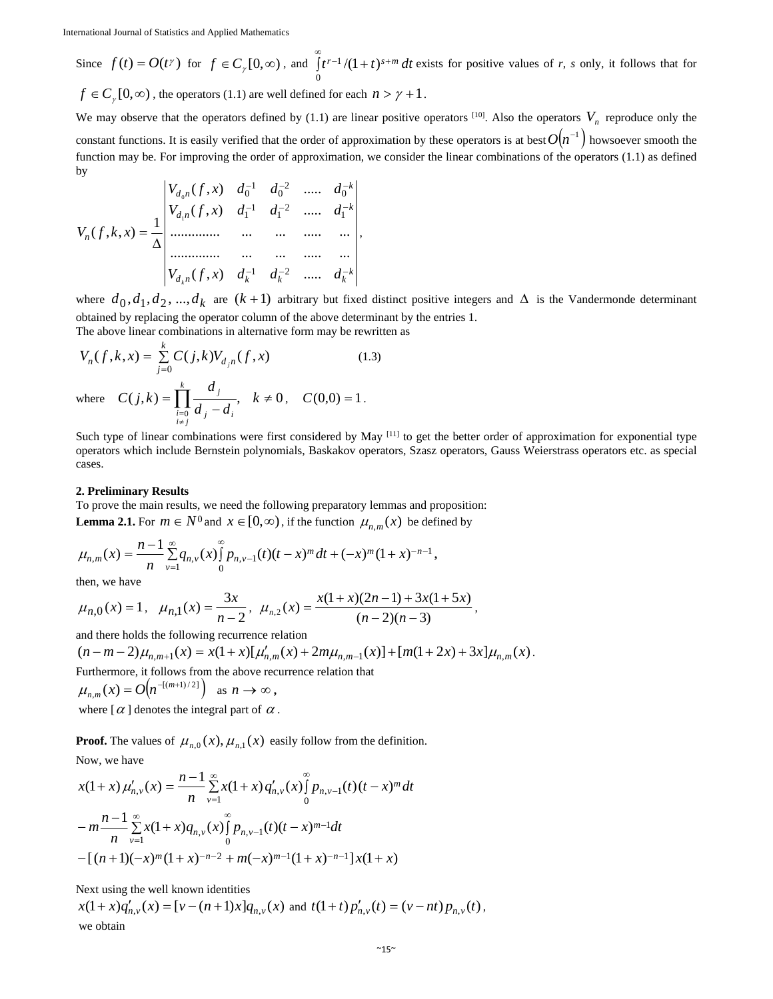Since 
$$
f(t) = O(t^{\gamma})
$$
 for  $f \in C_{\gamma}[0, \infty)$ , and  $\int_{0}^{\infty} t^{r-1}/(1+t)^{s+m} dt$  exists for positive values of r, s only, it follows that for  
\n $f \in C$  [0,  $\infty$ ), the operator (1, 1) are well defined for each  $n > \gamma + 1$ .

 $f \in C_{\gamma}[0,\infty)$ , the operators (1.1) are well defined for each  $n > \gamma + 1$ .

We may observe that the operators defined by (1.1) are linear positive operators  $[10]$ . Also the operators  $V_n$  reproduce only the constant functions. It is easily verified that the order of approximation by these operators is at best  $O(n^{-1})$  howsoever smooth the function may be. For improving the order of approximation, we consider the linear combinations of the operators (1.1) as defined by

$$
V_n(f,k,x) = \frac{1}{\Delta} \begin{vmatrix} V_{d_0n}(f,x) & d_0^{-1} & d_0^{-2} & \dots & d_0^{-k} \\ V_{d_1n}(f,x) & d_1^{-1} & d_1^{-2} & \dots & d_1^{-k} \\ \dots & \dots & \dots & \dots & \dots \\ \dots & \dots & \dots & \dots & \dots \\ \dots & \dots & \dots & \dots & \dots \\ V_{d_kn}(f,x) & d_k^{-1} & d_k^{-2} & \dots & d_k^{-k} \end{vmatrix},
$$

where  $d_0, d_1, d_2, ..., d_k$  are  $(k+1)$  arbitrary but fixed distinct positive integers and  $\Delta$  is the Vandermonde determinant obtained by replacing the operator column of the above determinant by the entries 1. The above linear combinations in alternative form may be rewritten as

$$
V_n(f, k, x) = \sum_{j=0}^{k} C(j,k) V_{d_j n}(f, x)
$$
 (1.3)  
where  $C(j,k) = \prod_{\substack{i=0 \ i \neq j}}^{k} \frac{d_j}{d_j - d_i}, \quad k \neq 0, \quad C(0,0) = 1.$ 

Such type of linear combinations were first considered by May [11] to get the better order of approximation for exponential type operators which include Bernstein polynomials, Baskakov operators, Szasz operators, Gauss Weierstrass operators etc. as special cases.

#### **2. Preliminary Results**

To prove the main results, we need the following preparatory lemmas and proposition: **Lemma 2.1.** For  $m \in N^0$  and  $x \in [0, \infty)$ , if the function  $\mu_{n,m}(x)$  be defined by

$$
\mu_{n,m}(x) = \frac{n-1}{n} \sum_{\nu=1}^{\infty} q_{n,\nu}(x) \int_{0}^{\infty} p_{n,\nu-1}(t) (t-x)^m dt + (-x)^m (1+x)^{-n-1},
$$

then, we have

$$
\mu_{n,0}(x) = 1
$$
,  $\mu_{n,1}(x) = \frac{3x}{n-2}$ ,  $\mu_{n,2}(x) = \frac{x(1+x)(2n-1) + 3x(1+5x)}{(n-2)(n-3)}$ ,

and there holds the following recurrence relation

$$
(n-m-2)\mu_{n,m+1}(x) = x(1+x)[\mu'_{n,m}(x) + 2m\mu_{n,m-1}(x)] + [m(1+2x) + 3x]\mu_{n,m}(x).
$$
  
Furthermore, it follows from the above recurrence relation that  

$$
\mu_{n,m}(x) = O(n^{-[(m+1)/2]}) \text{ as } n \to \infty,
$$

where  $\alpha$  denotes the integral part of  $\alpha$ .

**Proof.** The values of  $\mu_{n,0}(x), \mu_{n,1}(x)$  easily follow from the definition.

Now, we have

$$
x(1+x)\mu'_{n,v}(x) = \frac{n-1}{n} \sum_{\nu=1}^{\infty} x(1+x) q'_{n,v}(x) \int_{0}^{\infty} p_{n,v-1}(t) (t-x)^m dt
$$
  

$$
-m \frac{n-1}{n} \sum_{\nu=1}^{\infty} x(1+x) q_{n,v}(x) \int_{0}^{\infty} p_{n,v-1}(t) (t-x)^{m-1} dt
$$
  

$$
-[(n+1)(-x)^m(1+x)^{-n-2} + m(-x)^{m-1}(1+x)^{-n-1}] x(1+x)
$$

Next using the well known identities

 $x(1+x)q'_{n,v}(x) = [v-(n+1)x]q_{n,v}(x)$  and  $t(1+t)p'_{n,v}(t) = (v-nt)p_{n,v}(t)$ , we obtain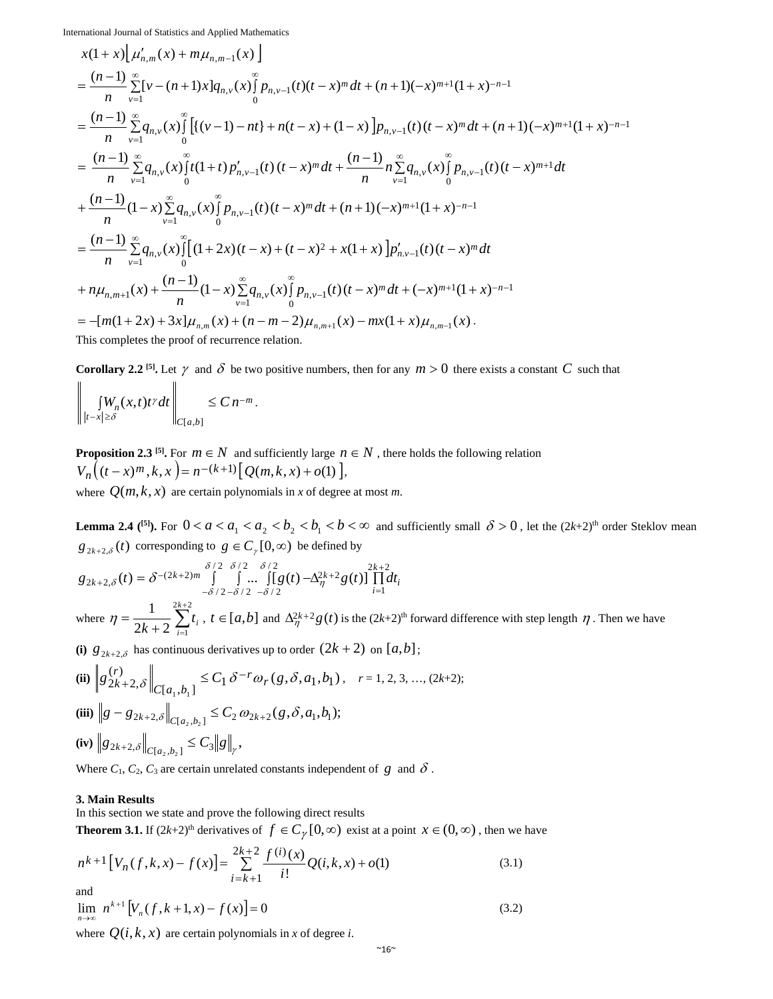$$
x(1+x)\left[\mu'_{n,m}(x)+m\mu_{n,m-1}(x)\right]
$$
  
\n
$$
=\frac{(n-1)}{n}\sum_{\nu=1}^{\infty} [v-(n+1)x]q_{n,\nu}(x)\int_{0}^{\infty} p_{n,\nu-1}(t)(t-x)^{m}dt+(n+1)(-x)^{m+1}(1+x)^{-n-1}
$$
  
\n
$$
=\frac{(n-1)}{n}\sum_{\nu=1}^{\infty} q_{n,\nu}(x)\int_{0}^{\infty} [(v-1)-nt]+n(t-x)+(1-x)\left[p_{n,\nu-1}(t)(t-x)^{m}dt+(n+1)(-x)^{m+1}(1+x)^{-n-1}\right]
$$
  
\n
$$
=\frac{(n-1)}{n}\sum_{\nu=1}^{\infty} q_{n,\nu}(x)\int_{0}^{\infty} t(1+t)p'_{n,\nu-1}(t)(t-x)^{m}dt+\frac{(n-1)}{n}n\sum_{\nu=1}^{\infty} q_{n,\nu}(x)\int_{0}^{\infty} p_{n,\nu-1}(t)(t-x)^{m+1}dt
$$
  
\n
$$
+\frac{(n-1)}{n}(1-x)\sum_{\nu=1}^{\infty} q_{n,\nu}(x)\int_{0}^{\infty} p_{n,\nu-1}(t)(t-x)^{m}dt+(n+1)(-x)^{m+1}(1+x)^{-n-1}
$$
  
\n
$$
=\frac{(n-1)}{n}\sum_{\nu=1}^{\infty} q_{n,\nu}(x)\int_{0}^{\infty} [(1+2x)(t-x)+(t-x)^{2}+x(1+x)]p'_{n,\nu-1}(t)(t-x)^{m}dt
$$
  
\n
$$
+n\mu_{n,m+1}(x)+\frac{(n-1)}{n}(1-x)\sum_{\nu=1}^{\infty} q_{n,\nu}(x)\int_{0}^{\infty} p_{n,\nu-1}(t)(t-x)^{m}dt+(-x)^{m+1}(1+x)^{-n-1}
$$
  
\n
$$
=-[m(1+2x)+3x]\mu_{n,m}(x)+(n-m-2)\mu_{n,m+1}(x)-mx(1+x)\mu_{n,m-1}(x).
$$

**Corollary 2.2** <sup>[5]</sup>. Let  $\gamma$  and  $\delta$  be two positive numbers, then for any  $m > 0$  there exists a constant *C* such that

$$
\left\| \int_{|t-x| \geq \delta} W_n(x,t) t^{\gamma} dt \right\|_{C[a,b]} \leq C n^{-m}.
$$

**Proposition 2.3** [5]. For  $m \in N$  and sufficiently large  $n \in N$ , there holds the following relation  $V_n((t-x)^m, k, x) = n^{-(k+1)}[Q(m, k, x) + o(1)],$ where  $Q(m, k, x)$  are certain polynomials in *x* of degree at most *m*.

**Lemma 2.4** (<sup>[5]</sup>). For  $0 < a < a_1 < a_2 < b_2 < b_1 < b < \infty$  and sufficiently small  $\delta > 0$ , let the  $(2k+2)$ <sup>th</sup> order Steklov mean  $g_{2k+2,\delta}(t)$  corresponding to  $g \in C_{\gamma}[0,\infty)$  be defined by

$$
g_{2k+2,\delta}(t) = \delta^{-(2k+2)m} \int_{-\delta/2-\delta/2}^{\delta/2} \int_{\cdots}^{\delta/2} \left[g(t) - \Delta_{\eta}^{2k+2}g(t)\right] \prod_{i=1}^{2k+2} dt_i
$$
  
\nwhere  $\eta = \frac{1}{2k+2} \sum_{i=1}^{2k+2} t_i$ ,  $t \in [a,b]$  and  $\Delta_{\eta}^{2k+2}g(t)$  is the  $(2k+2)$ <sup>th</sup> forward difference with step length  $\eta$ . Then we have

(i)  $g_{2k+2,\delta}$  has continuous derivatives up to order  $(2k+2)$  on  $[a,b]$ ;

(ii)

\n
$$
\left\| g_{2k+2,\delta}^{(r)} \right\|_{C[a_1,b_1]} \leq C_1 \delta^{-r} \omega_r(g,\delta,a_1,b_1), \quad r = 1, 2, 3, \dots, (2k+2);
$$
\n(iii)

\n
$$
\left\| g - g_{2k+2,\delta} \right\|_{C[a_2,b_2]} \leq C_2 \omega_{2k+2}(g,\delta,a_1,b_1);
$$
\n(iv)

\n
$$
\left\| g_{2k+2,\delta} \right\|_{C[a_2,b_2]} \leq C_3 \left\| g \right\|_r,
$$

Where  $C_1$ ,  $C_2$ ,  $C_3$  are certain unrelated constants independent of  $g$  and  $\delta$ .

#### **3. Main Results**

In this section we state and prove the following direct results

**Theorem 3.1.** If  $(2k+2)^{th}$  derivatives of  $f \in C_{\gamma}[0,\infty)$  exist at a point  $x \in (0,\infty)$ , then we have

$$
n^{k+1} \left[ V_n(f, k, x) - f(x) \right] = \sum_{i=k+1}^{2k+2} \frac{f^{(i)}(x)}{i!} Q(i, k, x) + o(1)
$$
\n(3.1)

and

$$
\lim_{n \to \infty} n^{k+1} \left[ V_n(f, k+1, x) - f(x) \right] = 0 \tag{3.2}
$$

where  $Q(i, k, x)$  are certain polynomials in *x* of degree *i*.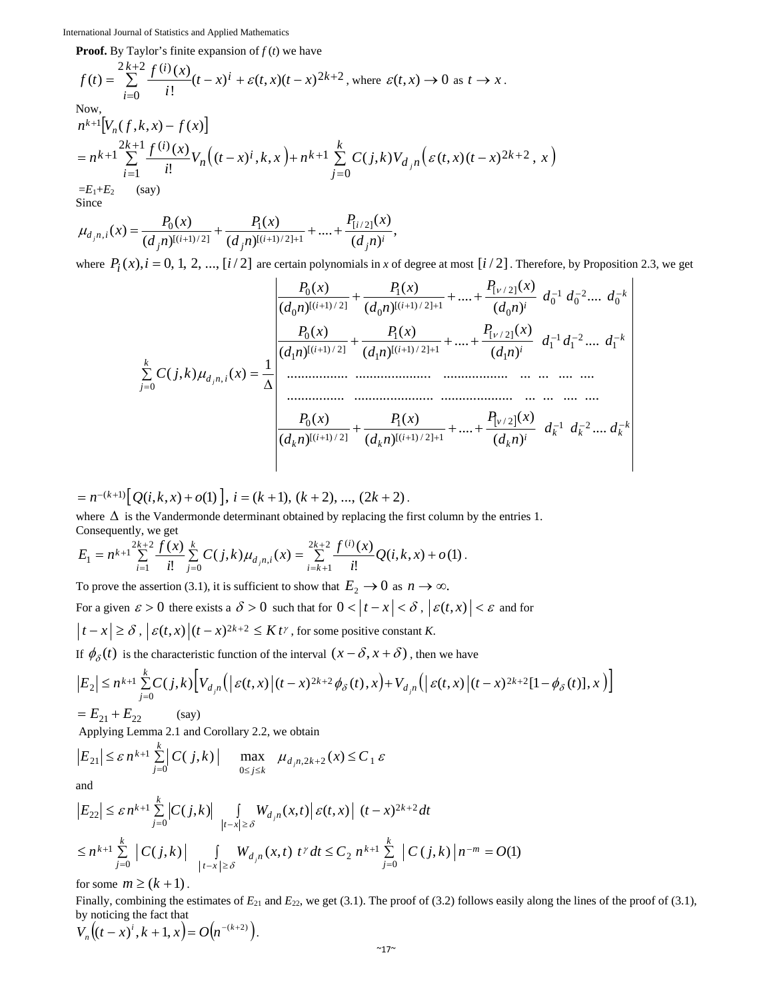**Proof.** By Taylor's finite expansion of  $f(t)$  we have

$$
f(t) = \sum_{i=0}^{2k+2} \frac{f^{(i)}(x)}{i!} (t-x)^{i} + \varepsilon(t,x)(t-x)^{2k+2}, \text{ where } \varepsilon(t,x) \to 0 \text{ as } t \to x.
$$
  
\nNow,  
\n
$$
n^{k+1} [V_n(f,k,x) - f(x)]
$$
\n
$$
= n^{k+1} \sum_{i=1}^{2k+1} \frac{f^{(i)}(x)}{i!} V_n((t-x)^{i},k,x) + n^{k+1} \sum_{j=0}^{k} C(j,k) V_{d_j n}(\varepsilon(t,x)(t-x)^{2k+2},x)
$$
\n
$$
= E_1 + E_2 \quad \text{(say)}
$$
\nSince

$$
\mu_{d_j n,i}(x) = \frac{P_0(x)}{(d_j n)^{[(i+1)/2]}} + \frac{P_1(x)}{(d_j n)^{[(i+1)/2]+1}} + \dots + \frac{P_{[i/2]}(x)}{(d_j n)^i},
$$

where  $P_i(x)$ ,  $i = 0, 1, 2, ..., [i/2]$  are certain polynomials in *x* of degree at most  $[i/2]$ . Therefore, by Proposition 2.3, we get

$$
\sum_{j=0}^{k} C(j,k) \mu_{d,n,i}(x) = \frac{1}{\Delta} \begin{bmatrix} \frac{P_0(x)}{(d_0 n)^{[(i+1)/2]}} + \frac{P_1(x)}{(d_0 n)^{(i+1)/2} + 1} + \dots + \frac{P_{[v/2]}(x)}{(d_0 n)^i} & d_0^{-1} d_0^{-2} \dots & d_0^{-k} \\ \frac{P_0(x)}{(d_1 n)^{[(i+1)/2]}} + \frac{P_1(x)}{(d_1 n)^{(i+1)/2} + 1} + \dots + \frac{P_{[v/2]}(x)}{(d_1 n)^i} & d_1^{-1} d_1^{-2} \dots & d_1^{-k} \\ \vdots & \vdots & \ddots & \vdots \\ \frac{P_0(x)}{(d_k n)^{[(i+1)/2]}} + \frac{P_1(x)}{(d_k n)^{(i+1)/2} + 1} + \dots + \frac{P_{[v/2]}(x)}{(d_k n)^i} & d_k^{-1} d_k^{-2} \dots & d_k^{-k} \end{bmatrix}
$$

 $(n - (k+1)) \left[ Q(i,k,x) + o(1) \right], i = (k+1), (k+2), ..., (2k+2).$ 

where  $\Delta$  is the Vandermonde determinant obtained by replacing the first column by the entries 1. Consequently, we get

$$
E_1 = n^{k+1} \sum_{i=1}^{2k+2} \frac{f(x)}{i!} \sum_{j=0}^k C(j,k) \mu_{d_j n,i}(x) = \sum_{i=k+1}^{2k+2} \frac{f^{(i)}(x)}{i!} Q(i,k,x) + o(1).
$$

To prove the assertion (3.1), it is sufficient to show that  $E_2 \to 0$  as  $n \to \infty$ .

For a given  $\varepsilon > 0$  there exists a  $\delta > 0$  such that for  $0 < |t - x| < \delta$ ,  $|\varepsilon(t, x)| < \varepsilon$  and for

$$
\left|t - x\right| \ge \delta, \left| \varepsilon(t, x) \right| (t - x)^{2k + 2} \le K t^{\gamma},
$$
 for some positive constant K.

If  $\phi_{\delta}(t)$  is the characteristic function of the interval  $(x - \delta, x + \delta)$ , then we have

$$
\left| E_{2} \right| \leq n^{k+1} \sum_{j=0}^{k} C(j,k) \left[ V_{d,n} \left( \left| \right| \mathcal{E}(t,x) \left| (t-x)^{2k+2} \phi_{\delta}(t), x \right| + V_{d,n} \left( \left| \right| \mathcal{E}(t,x) \left| (t-x)^{2k+2} [1-\phi_{\delta}(t)], x \right| \right) \right] \right]
$$

 $E_{21} + E_{22}$  (say)

Applying Lemma 2.1 and Corollary 2.2, we obtain

$$
\left|E_{21}\right| \leq \varepsilon n^{k+1} \sum_{j=0}^{k} |C(j,k)| \quad \max_{0 \leq j \leq k} \mu_{d_j, 2k+2}(x) \leq C_1 \varepsilon
$$

and

$$
\begin{aligned} \left| E_{22} \right| &\leq \varepsilon \, n^{k+1} \sum_{j=0}^{k} \left| C(j,k) \right| \, \int\limits_{|t-x| \geq \delta} W_{d,n}(x,t) \, \left| \, \varepsilon(t,x) \, \right| \, (t-x)^{2k+2} \, dt \\ &\leq n^{k+1} \sum_{j=0}^{k} \left| \, C(j,k) \, \right| \, \int\limits_{|t-x| \geq \delta} W_{d,n}(x,t) \, t^{\gamma} \, dt \leq C_2 \, n^{k+1} \sum_{j=0}^{k} \left| \, C(j,k) \, \right| \, n^{-m} = O(1) \end{aligned}
$$

for some  $m \ge (k+1)$ .

Finally, combining the estimates of  $E_{21}$  and  $E_{22}$ , we get (3.1). The proof of (3.2) follows easily along the lines of the proof of (3.1), by noticing the fact that

 $V_n((t-x)^i, k+1, x) = O(n^{-(k+2)})$ .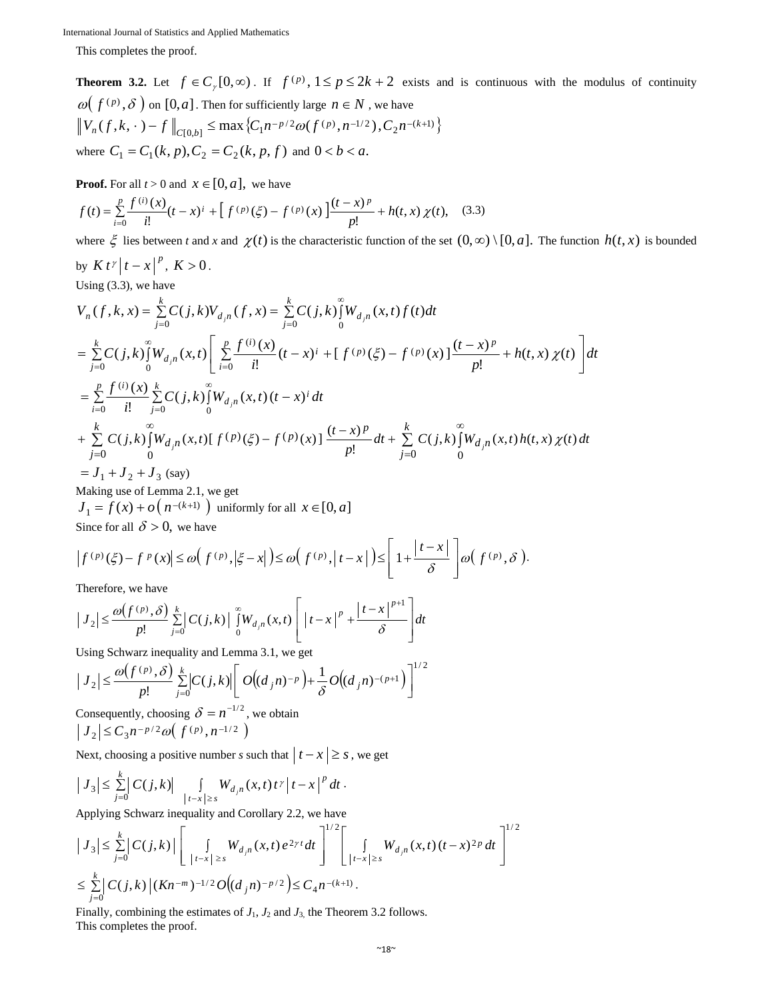This completes the proof.

**Theorem 3.2.** Let  $f \in C_p[0,\infty)$ . If  $f^{(p)}$ ,  $1 \le p \le 2k+2$  exists and is continuous with the modulus of continuity  $\omega(f^{(p)}, \delta)$  on  $[0, a]$ . Then for sufficiently large  $n \in N$ , we have  $V_n(f, k, \cdot) - f \big|_{C[0,b]} \le \max \big\{ C_1 n^{-p/2} \omega(f^{(p)}, n^{-1/2}), C_2 n^{-(k+1)} \big\}$ where  $C_1 = C_1(k, p), C_2 = C_2(k, p, f)$  and  $0 < b < a$ .

**Proof.** For all  $t > 0$  and  $x \in [0, a]$ , we have

$$
f(t) = \sum_{i=0}^{p} \frac{f^{(i)}(x)}{i!} (t - x)^{i} + \left[ f^{(p)}(\xi) - f^{(p)}(x) \right] \frac{(t - x)^{p}}{p!} + h(t, x) \chi(t), \quad (3.3)
$$

where  $\xi$  lies between *t* and *x* and  $\chi(t)$  is the characteristic function of the set  $(0, \infty) \setminus [0, a]$ . The function  $h(t, x)$  is bounded by  $K t^{\gamma} |t - x|^p$ ,  $K > 0$ .

Using (3.3), we have

$$
V_n(f, k, x) = \sum_{j=0}^{k} C(j,k) V_{d,n}(f, x) = \sum_{j=0}^{k} C(j,k) \int_{0}^{\infty} W_{d,n}(x,t) f(t) dt
$$
  
\n
$$
= \sum_{j=0}^{k} C(j,k) \int_{0}^{\infty} W_{d,n}(x,t) \left[ \sum_{i=0}^{p} \frac{f^{(i)}(x)}{i!} (t-x)^{i} + [f^{(p)}(\xi) - f^{(p)}(x)] \frac{(t-x)^{p}}{p!} + h(t,x) \chi(t) \right] dt
$$
  
\n
$$
= \sum_{i=0}^{p} \frac{f^{(i)}(x)}{i!} \sum_{j=0}^{k} C(j,k) \int_{0}^{\infty} W_{d,n}(x,t) (t-x)^{i} dt
$$
  
\n
$$
+ \sum_{j=0}^{k} C(j,k) \int_{0}^{\infty} W_{d,n}(x,t) [f^{(p)}(\xi) - f^{(p)}(x)] \frac{(t-x)^{p}}{p!} dt + \sum_{j=0}^{k} C(j,k) \int_{0}^{\infty} W_{d,n}(x,t) h(t,x) \chi(t) dt
$$
  
\n
$$
= J_1 + J_2 + J_3 \text{ (say)}
$$

Making use of Lemma 2.1, we get

 $J_1 = f(x) + o(n^{-(k+1)})$  uniformly for all  $x \in [0, a]$ 

Since for all  $\delta > 0$ , we have

$$
\left|f^{(p)}(\xi) - f^{(p)}(x)\right| \le \omega\Big(f^{(p)}, \Big|\xi - x\Big| \Big) \le \omega\Big(f^{(p)}, \Big|t - x\Big| \Big) \le \left[1 + \frac{|t - x|}{\delta}\right] \omega\Big(f^{(p)}, \delta\Big).
$$

Therefore, we have

$$
\left|J_{2}\right| \leq \frac{\omega(f^{(p)},\delta)}{p!}\sum_{j=0}^{k}\left|C(j,k)\right|\int_{0}^{\infty}W_{d,n}(x,t)\left[|t-x|^{p}+\frac{|t-x|^{p+1}}{\delta}\right]dt
$$

Using Schwarz inequality and Lemma 3.1, we get

$$
|J_2| \leq \frac{\omega(f^{(p)}, \delta)}{p!} \sum_{j=0}^{k} |C(j,k)| \left[ O((d_j n)^{-p}) + \frac{1}{\delta} O((d_j n)^{-(p+1)}) \right]^{1/2}
$$

Consequently, choosing  $\delta = n^{-1/2}$ , we obtain  $|J_2| \leq C_3 n^{-p/2} \omega\left(f^{(p)}, n^{-1/2}\right)$ 

Next, choosing a positive number *s* such that  $|t - x| \geq s$ , we get

$$
\left| J_3 \right| \leq \sum_{j=0}^k \left| C(j,k) \right| \int\limits_{|t-x| \geq s} W_{d,n}(x,t) \, t^{\gamma} \left| t-x \right|^p \, dt \, .
$$

Applying Schwarz inequality and Corollary 2.2, we have

$$
\begin{aligned} \left| J_{3} \right| &\leq \sum_{j=0}^{k} \left| C(j,k) \right| \left[ \int\limits_{|t-x| \geq s} W_{d,n}(x,t) e^{2\gamma t} dt \right]^{1/2} \left[ \int\limits_{|t-x| \geq s} W_{d,n}(x,t) (t-x)^{2p} dt \right]^{1/2} \\ &\leq \sum_{j=0}^{k} \left| C(j,k) \left| (Kn^{-m})^{-1/2} O\big((d_j n)^{-p/2}\big) \right| \leq C_4 n^{-(k+1)} \,. \end{aligned}
$$

Finally, combining the estimates of  $J_1$ ,  $J_2$  and  $J_3$ , the Theorem 3.2 follows. This completes the proof.